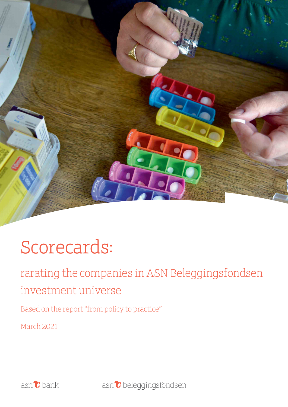

# **Scorecards:**

rarating the companies in ASN Beleggingsfondsen investment universe

Based on the report "from policy to practice"

March 2021



asn<sup>2</sup> beleggingsfondsen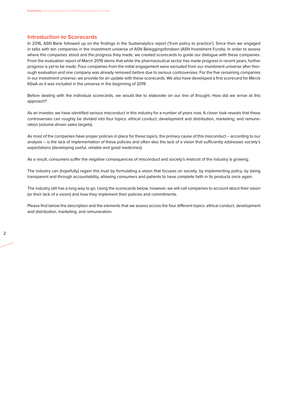#### **Introduction to Scorecards**

In 2016, ASN Bank followed up on the findings in the Sustainalytics report ('from policy to practice'). Since then we engaged in talks with ten companies in the investment universe of ASN Beleggingsfondsen (ASN Investment Funds). In order to assess where the companies stood and the progress they made, we created scorecards to guide our dialogue with these companies. From the evaluation report of March 2019 stems that while the pharmaceutical sector has made progress in recent years, further progress is yet to be made. Four companies from the initial engagement were excluded from our investment universe after thorough evaluation and one company was already removed before due to serious controversies. For the five remaining companies in our investment universe, we provide for an update with these scorecards. We also have developed a first scorecard for Merck KGaA as it was included in the universe in the beginning of 2019.

Before dealing with the individual scorecards, we would like to elaborate on our line of thought. How did we arrive at this approach?

As an investor, we have identified serious misconduct in this industry for a number of years now. A closer look reveals that these controversies can roughly be divided into four topics: ethical conduct, development and distribution, marketing, and remuneration (volume-driven sales targets).

As most of the companies have proper policies in place for these topics, the primary cause of this misconduct – according to our analysis – is the lack of implementation of these policies and often also the lack of a vision that sufficiently addresses society's expectations (developing useful, reliable and good medicines).

As a result, consumers suffer the negative consequences of misconduct and society's mistrust of the industry is growing.

The industry can (hopefully) regain this trust by formulating a vision that focuses on society, by implementing policy, by being transparent and through accountability, allowing consumers and patients to have complete faith in its products once again.

The industry still has a long way to go. Using the scorecards below, however, we will call companies to account about their vision (or their lack of a vision) and how they implement their policies and commitments.

Please find below the description and the elements that we assess across the four different topics: ethical conduct, development and distribution, marketing, and remuneration.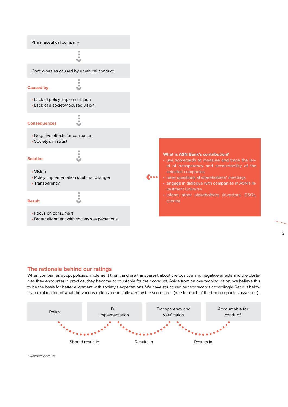

### **The rationale behind our ratings**

When companies adopt policies, implement them, and are transparent about the positive and negative effects and the obstacles they encounter in practice, they become accountable for their conduct. Aside from an overarching vision, we believe this to be the basis for better alignment with society's expectations. We have structured our scorecards accordingly. Set out below is an explanation of what the various ratings mean, followed by the scorecards (one for each of the ten companies assessed).



*\* /Renders account*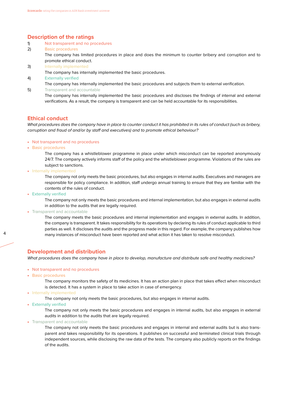## **Description of the ratings**

- 1) Not transparent and no procedures
- 2) Basic procedures

 The company has limited procedures in place and does the minimum to counter bribery and corruption and to promote ethical conduct.

3) Internally implemented

The company has internally implemented the basic procedures.

4) Externally verified

The company has internally implemented the basic procedures and subjects them to external verification.

5) Transparent and accountable

 The company has internally implemented the basic procedures and discloses the findings of internal and external verifications. As a result, the company is transparent and can be held accountable for its responsibilities.

### **Ethical conduct**

*What procedures does the company have in place to counter conduct it has prohibited in its rules of conduct (such as bribery, corruption and fraud of and/or by staff and executives) and to promote ethical behaviour?* 

- Not transparent and no procedures
- Basic procedures

 The company has a whistleblower programme in place under which misconduct can be reported anonymously 24/7. The company actively informs staff of the policy and the whistleblower programme. Violations of the rules are subject to sanctions.

• Internally implemented

 The company not only meets the basic procedures, but also engages in internal audits. Executives and managers are responsible for policy compliance. In addition, staff undergo annual training to ensure that they are familiar with the contents of the rules of conduct.

• Externally verified

 The company not only meets the basic procedures and internal implementation, but also engages in external audits in addition to the audits that are legally required.

• Transparent and accountable

4 5 many instances of misconduct have been reported and what action it has taken to resolve misconduct. The company meets the basic procedures and internal implementation and engages in external audits. In addition, the company is transparent. It takes responsibility for its operations by declaring its rules of conduct applicable to third parties as well. It discloses the audits and the progress made in this regard. For example, the company publishes how

### **Development and distribution**

*What procedures does the company have in place to develop, manufacture and distribute safe and healthy medicines?*

- Not transparent and no procedures
- Basic procedures

 The company monitors the safety of its medicines. It has an action plan in place that takes effect when misconduct is detected. It has a system in place to take action in case of emergency.

- Internally implemented
	- The company not only meets the basic procedures, but also engages in internal audits.
- Externally verified

 The company not only meets the basic procedures and engages in internal audits, but also engages in external audits in addition to the audits that are legally required.

• Transparent and accountable

 The company not only meets the basic procedures and engages in internal and external audits but is also transparent and takes responsibility for its operations. It publishes on successful and terminated clinical trials through independent sources, while disclosing the raw data of the tests. The company also publicly reports on the findings of the audits.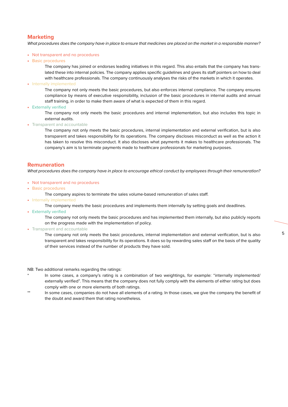## **Marketing**

*What procedures does the company have in place to ensure that medicines are placed on the market in a responsible manner?*

- Not transparent and no procedures
- Basic procedures

 The company has joined or endorses leading initiatives in this regard. This also entails that the company has translated these into internal policies. The company applies specific guidelines and gives its staff pointers on how to deal with healthcare professionals. The company continuously analyses the risks of the markets in which it operates.

• Internally implemented

 The company not only meets the basic procedures, but also enforces internal compliance. The company ensures compliance by means of executive responsibility, inclusion of the basic procedures in internal audits and annual staff training, in order to make them aware of what is expected of them in this regard.

• Externally verified

 The company not only meets the basic procedures and internal implementation, but also includes this topic in external audits.

• Transparent and accountable

 The company not only meets the basic procedures, internal implementation and external verification, but is also transparent and takes responsibility for its operations. The company discloses misconduct as well as the action it has taken to resolve this misconduct. It also discloses what payments it makes to healthcare professionals. The company's aim is to terminate payments made to healthcare professionals for marketing purposes.

## **Remuneration**

*What procedures does the company have in place to encourage ethical conduct by employees through their remuneration?*

- Not transparent and no procedures
- Basic procedures
	- The company aspires to terminate the sales volume-based remuneration of sales staff.
- Internally implemented
	- The company meets the basic procedures and implements them internally by setting goals and deadlines.
- Externally verified

 The company not only meets the basic procedures and has implemented them internally, but also publicly reports on the progress made with the implementation of policy.

• Transparent and accountable

The company not only meets the basic procedures, internal implementation and external verification, but is also  $^{\rm 5}$ transparent and takes responsibility for its operations. It does so by rewarding sales staff on the basis of the quality of their services instead of the number of products they have sold.

NB: Two additional remarks regarding the ratings:

- In some cases, a company's rating is a combination of two weightings, for example: "internally implemented/ externally verified". This means that the company does not fully comply with the elements of either rating but does comply with one or more elements of both ratings.
- \*\* In some cases, companies do not have all elements of a rating. In those cases, we give the company the benefit of the doubt and award them that rating nonetheless.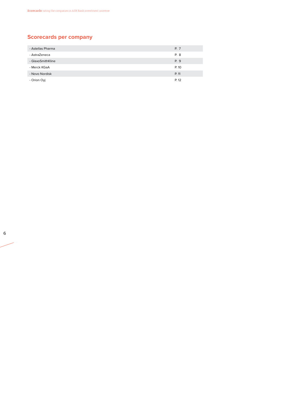# **Scorecards per company**

| - Astellas Pharma | P. 7  |
|-------------------|-------|
| - AstraZeneca     | P. 8  |
| - GlaxoSmithKline | P. 9  |
| - Merck KGaA      | P. 10 |
| - Novo Nordisk    | P. 11 |
| - Orion Oyj       | P. 12 |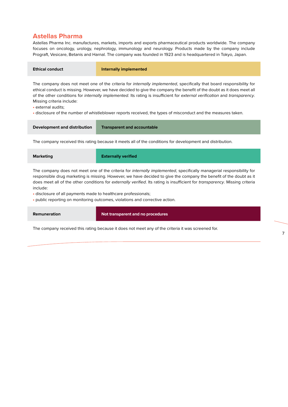## **Astellas Pharma**

Astellas Pharma Inc. manufactures, markets, imports and exports pharmaceutical products worldwide. The company focuses on oncology, urology, nephrology, immunology and neurology. Products made by the company include Prograft, Vesicare, Betanis and Harnal. The company was founded in 1923 and is headquartered in Tokyo, Japan.

| <b>Ethical conduct</b>                  | Internally implemented                                                                                                                                                                                                                                                                                                                                                              |
|-----------------------------------------|-------------------------------------------------------------------------------------------------------------------------------------------------------------------------------------------------------------------------------------------------------------------------------------------------------------------------------------------------------------------------------------|
| A Atalian and automatic for all collect | The company does not meet one of the criteria for <i>internally implemented</i> , specifically that board responsibility for<br>ethical conduct is missing. However, we have decided to give the company the benefit of the doubt as it does meet all<br>of the other conditions for internally implemented. Its rating is insufficient for external verification and transparency. |

Missing criteria include:

• external audits;

• disclosure of the number of whistleblower reports received, the types of misconduct and the measures taken.

**Development and distribution Transparent and accountable**

The company received this rating because it meets all of the conditions for development and distribution.

**Marketing Externally verified**

The company does not meet one of the criteria for *internally implemented*, specifically managerial responsibility for responsible drug marketing is missing. However, we have decided to give the company the benefit of the doubt as it does meet all of the other conditions for *externally verified*. Its rating is insufficient for *transparency*. Missing criteria include:

• disclosure of all payments made to healthcare professionals;

• public reporting on monitoring outcomes, violations and corrective action.

**Remuneration Not transparent and no procedures**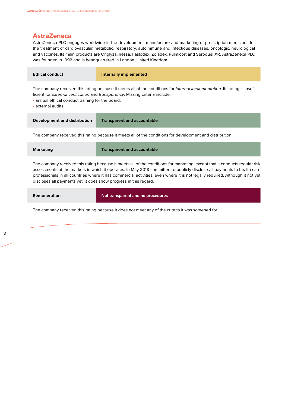## **AstraZeneca**

AstraZeneca PLC engages worldwide in the development, manufacture and marketing of prescription medicines for the treatment of cardiovascular, metabolic, respiratory, autoimmune and infectious diseases, oncologic, neurological and vaccines. Its main products are Onglyza, Iressa, Faslodex, Zoladex, Pulmicort and Seroquel XR. AstraZeneca PLC was founded in 1992 and is headquartered in London, United Kingdom.

| <b>Ethical conduct</b>                                                                                                                                                                                                                                                                                                                                                                                                                                       | Internally implemented             |  |
|--------------------------------------------------------------------------------------------------------------------------------------------------------------------------------------------------------------------------------------------------------------------------------------------------------------------------------------------------------------------------------------------------------------------------------------------------------------|------------------------------------|--|
| The company received this rating because it meets all of the conditions for <i>internal implementation</i> . Its rating is insuf-<br>ficient for external verification and transparency. Missing criteria include:<br>• annual ethical conduct training for the board;<br>• external audits.                                                                                                                                                                 |                                    |  |
| Development and distribution                                                                                                                                                                                                                                                                                                                                                                                                                                 | <b>Transparent and accountable</b> |  |
| The company received this rating because it meets all of the conditions for development and distribution.                                                                                                                                                                                                                                                                                                                                                    |                                    |  |
| <b>Marketing</b>                                                                                                                                                                                                                                                                                                                                                                                                                                             | <b>Transparent and accountable</b> |  |
| The company received this rating because it meets all of the conditions for marketing, except that it conducts regular risk<br>assessments of the markets in which it operates. In May 2018 committed to publicly disclose all payments to health care<br>professionals in all countries where it has commercial activities, even where it is not legally required. Although it not yet<br>discloses all payments yet, it does show progress in this regard. |                                    |  |

| Remuneration | Not transparent and no procedures |
|--------------|-----------------------------------|
|              |                                   |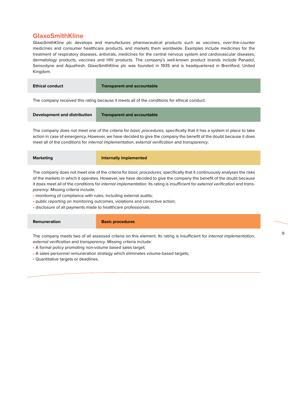## **GlaxoSmithKline**

GlaxoSmithKline plc develops and manufactures pharmaceutical products such as vaccines, over-the-counter medicines and consumer healthcare products, and markets them worldwide. Examples include medicines for the treatment of respiratory diseases, antivirals, medicines for the central nervous system and cardiovascular diseases, dermatology products, vaccines and HIV products. The company's well-known product brands include Panadol, Sensodyne and Aquafresh. GlaxoSmithKline plc was founded in 1935 and is headquartered in Brentford, United Kingdom.

| <b>Ethical conduct</b>                                                                       | <b>Transparent and accountable</b> |  |
|----------------------------------------------------------------------------------------------|------------------------------------|--|
| The company received this rating because it meets all of the conditions for ethical conduct. |                                    |  |
| Development and distribution                                                                 | <b>Transparent and accountable</b> |  |

The company does not meet one of the criteria for *basic procedures*, specifically that it has a system in place to take action in case of emergency. However, we have decided to give the company the benefit of the doubt because it does meet all of the conditions for *internal implementation*, *external verification* and *transparency*.

| <b>Marketing</b> | Internally implemented |
|------------------|------------------------|
|------------------|------------------------|

The company does not meet one of the criteria for *basic procedures*, specifically that it continuously analyses the risks of the markets in which it operates. However, we have decided to give the company the benefit of the doubt because it does meet all of the conditions for *internal implementation*. Its rating is insufficient for *external verification* and *transparency*. Missing criteria include:

- monitoring of compliance with rules, including external audits;
- public reporting on monitoring outcomes, violations and corrective action;
- disclosure of all payments made to healthcare professionals.

**Remuneration Basic procedures** 

8 9 The company meets two of all assessed criteria on this element. Its rating is insufficient for *internal implementation*, *external verification* and *transparency*. Missing criteria include:

- A formal policy promoting non-volume based sales target;
- A sales personnel remuneration strategy which eliminates volume-based targets;
- Quantitative targets or deadlines.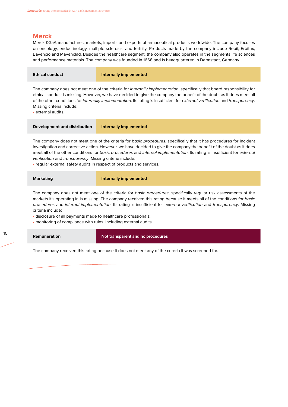# **Merck**

Merck KGaA manufactures, markets, imports and exports pharmaceutical products worldwide. The company focuses on oncology, endocrinology, multiple sclerosis, and fertility. Products made by the company include Rebif, Erbitux, Bavencio and Mavenclad. Besides the healthcare segment, the company also operates in the segments life sciences and performance materials. The company was founded in 1668 and is headquartered in Darmstadt, Germany.

| <b>Ethical conduct</b> | Internally implemented                                                                                                                                                                                                                           |
|------------------------|--------------------------------------------------------------------------------------------------------------------------------------------------------------------------------------------------------------------------------------------------|
|                        | The company does not meet one of the criteria for internally implementation, specifically that board responsibility for<br>ethical conduct is missing. However, we have decided to give the company the benefit of the doubt as it does meet all |

of the other conditions for *internally implementation*. Its rating is insufficient for *external verification* and *transparency*. Missing criteria include:

• external audits.

**Development and distribution Internally implemented**

The company does not meet one of the criteria for *basic procedures*, specifically that it has procedures for incident investigation and corrective action. However, we have decided to give the company the benefit of the doubt as it does meet all of the other conditions for *basic procedures* and *internal implementation*. Its rating is insufficient for *external verification* and *transparency*. Missing criteria include:

• regular external safety audits in respect of products and services.

| <b>Marketing</b> | Internally implemented |
|------------------|------------------------|
|                  |                        |

The company does not meet one of the criteria for *basic procedures*, specifically regular risk assessments of the markets it's operating in is missing. The company received this rating because it meets all of the conditions for *basic procedures* and *internal implementation*. Its rating is insufficient for *external verification* and *transparency*. Missing criteria include:

• disclosure of all payments made to healthcare professionals;

• monitoring of compliance with rules, including external audits.

10 11 **Remuneration Not transparent and no procedures**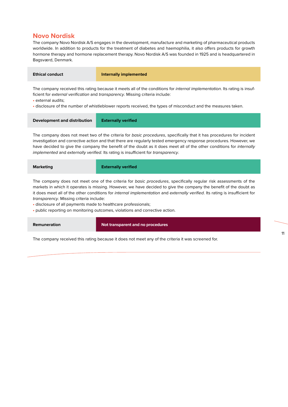## **Novo Nordisk**

The company Novo Nordisk A/S engages in the development, manufacture and marketing of pharmaceutical products worldwide. In addition to products for the treatment of diabetes and haemophilia, it also offers products for growth hormone therapy and hormone replacement therapy. Novo Nordisk A/S was founded in 1925 and is headquartered in Bagsværd, Denmark.

| Ethical conduct | Internally implemented                                                                                                   |
|-----------------|--------------------------------------------------------------------------------------------------------------------------|
|                 | The company resolved this reting because it meets all of the conditions for internal implementation. Its reting is insuf |

The company received this rating because it meets all of the conditions for *internal implementation*. Its rating is insufficient for *external verification* and *transparency*. Missing criteria include:

• external audits;

• disclosure of the number of whistleblower reports received, the types of misconduct and the measures taken.

| <b>Externally verified</b> |  |
|----------------------------|--|

The company does not meet two of the criteria for *basic procedures*, specifically that it has procedures for incident investigation and corrective action and that there are regularly tested emergency response procedures. However, we have decided to give the company the benefit of the doubt as it does meet all of the other conditions for *internally implemented* and *externally verified*. Its rating is insufficient for *transparency*.

| <b>Marketing</b> | <b>Externally verified</b> |
|------------------|----------------------------|
|                  |                            |

The company does not meet one of the criteria for *basic procedures*, specifically regular risk assessments of the markets in which it operates is missing. However, we have decided to give the company the benefit of the doubt as it does meet all of the other conditions for *internal implementation* and *externally verified*. Its rating is insufficient for *transparency*. Missing criteria include:

• disclosure of all payments made to healthcare professionals;

• public reporting on monitoring outcomes, violations and corrective action.

**Remuneration Not transparent and no procedures**